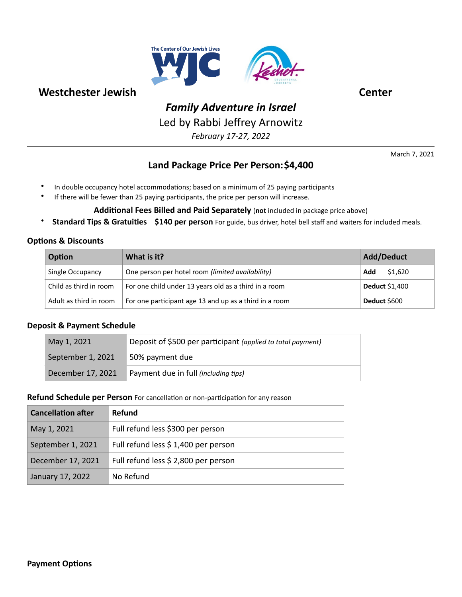

# *Family Adventure in Israel*

Led by Rabbi Jeffrey Arnowitz

*February 17-27, 2022* 

March 7, 2021

# **Land Package Price Per Person: \$4,400**

- In double occupancy hotel accommodations; based on a minimum of 25 paying participants
- If there will be fewer than 25 paying participants, the price per person will increase.
	- Additional Fees Billed and Paid Separately (not included in package price above)
- Standard Tips & Gratuities \$140 per person For guide, bus driver, hotel bell staff and waiters for included meals.

#### **Options & Discounts**

| Option                 | What is it?                                            | <b>Add/Deduct</b>     |
|------------------------|--------------------------------------------------------|-----------------------|
| Single Occupancy       | One person per hotel room (limited availability)       | \$1,620<br>Add        |
| Child as third in room | For one child under 13 years old as a third in a room  | <b>Deduct</b> \$1,400 |
| Adult as third in room | For one participant age 13 and up as a third in a room | Deduct \$600          |

#### **Deposit & Payment Schedule**

| May 1, 2021       | Deposit of \$500 per participant (applied to total payment) |
|-------------------|-------------------------------------------------------------|
| September 1, 2021 | 50% payment due                                             |
| December 17, 2021 | Payment due in full (including tips)                        |

#### **Refund Schedule per Person** For cancellation or non-participation for any reason

| <b>Cancellation after</b> | <b>Refund</b>                        |
|---------------------------|--------------------------------------|
| May 1, 2021               | Full refund less \$300 per person    |
| September 1, 2021         | Full refund less \$ 1,400 per person |
| December 17, 2021         | Full refund less \$ 2,800 per person |
| January 17, 2022          | No Refund                            |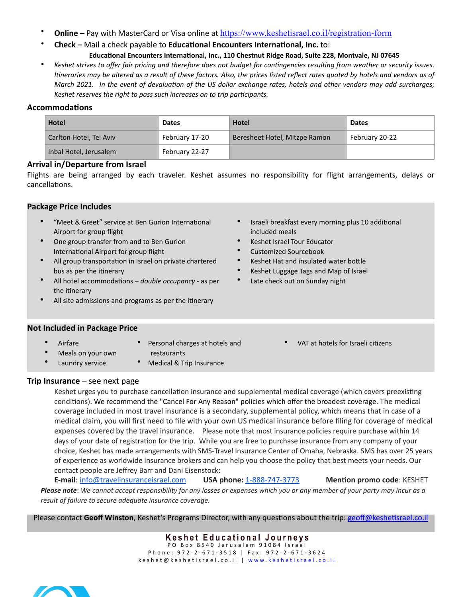- **Online Pay with MasterCard or Visa online at <https://www.keshetisrael.co.il/registration-form>** 
	- **Check –** Mail a check payable to **Educational Encounters International, Inc.** to:

# Educational Encounters International, Inc., 110 Chestnut Ridge Road, Suite 228, Montvale, NJ 07645

Keshet strives to offer fair pricing and therefore does not budget for contingencies resulting from weather or security issues. *Itineraries may be altered as a result of these factors. Also, the prices listed reflect rates quoted by hotels and vendors as of March 2021. In the event of devaluation of the US dollar exchange rates, hotels and other vendors may add surcharges;* Keshet reserves the right to pass such increases on to trip participants.

# **Accommodations**

| <b>Hotel</b>            | <b>Dates</b>   | <b>Hotel</b>                  | <b>Dates</b>   |
|-------------------------|----------------|-------------------------------|----------------|
| Carlton Hotel, Tel Aviv | February 17-20 | Beresheet Hotel, Mitzpe Ramon | February 20-22 |
| Inbal Hotel, Jerusalem  | February 22-27 |                               |                |

#### **Arrival in/Departure from Israel**

Flights are being arranged by each traveler. Keshet assumes no responsibility for flight arrangements, delays or cancellations.

### **Package Price Includes**

- "Meet & Greet" service at Ben Gurion International Airport for group flight
- One group transfer from and to Ben Gurion International Airport for group flight
- All group transportation in Israel on private chartered bus as per the itinerary
- All hotel accommodations *double occupancy -* as per the itinerary
- All site admissions and programs as per the itinerary

Israeli breakfast every morning plus 10 additional included meals

VAT at hotels for Israeli citizens

- Keshet Israel Tour Educator
- Customized Sourcebook
- Keshet Hat and insulated water bottle
- Keshet Luggage Tags and Map of Israel
- Late check out on Sunday night

### **Not Included in Package Price**

- Airfare
- Personal charges at hotels and
- Meals on your own
- Medical & Trip Insurance

restaurants

### **Trip Insurance** – see next page

Laundry service

Keshet urges you to purchase cancellation insurance and supplemental medical coverage (which covers preexisting conditions). We recommend the "Cancel For Any Reason" policies which offer the broadest coverage. The medical coverage included in most travel insurance is a secondary, supplemental policy, which means that in case of a medical claim, you will first need to file with your own US medical insurance before filing for coverage of medical expenses covered by the travel insurance. Please note that most insurance policies require purchase within 14 days of your date of registration for the trip. While you are free to purchase insurance from any company of your choice, Keshet has made arrangements with SMS-Travel Insurance Center of Omaha, Nebraska. SMS has over 25 years of experience as worldwide insurance brokers and can help you choose the policy that best meets your needs. Our contact people are Jeffrey Barr and Dani Eisenstock:

**E-mail**: [info@travelinsuranceisrael.com](mailto:info@travelinsuranceisrael.com) **USA phone:** [1-888-747-3773](tel:1-888-747-3773) Mention promo code: KESHET *Please note*: *We cannot accept responsibility for any losses or expenses which you or any member of your party may incur as a result of failure to secure adequate insurance coverage.* 

Please contact Geoff Winston, Keshet's Programs Director, with any questions about the trip: geoff@keshetisrael.co.il

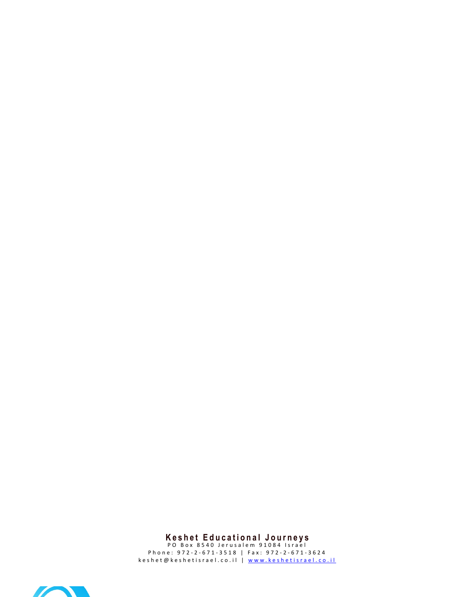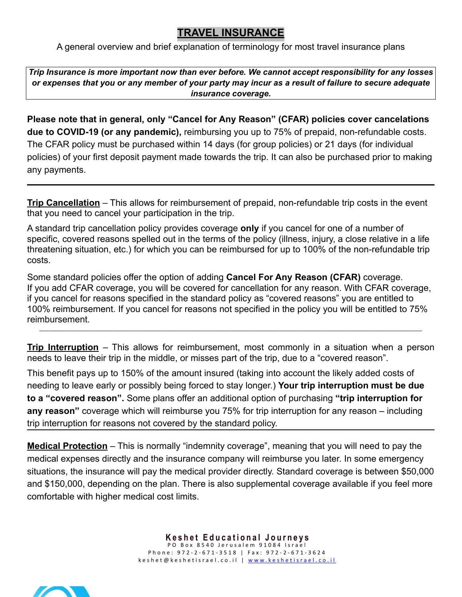# **TRAVEL INSURANCE**

A general overview and brief explanation of terminology for most travel insurance plans

*Trip Insurance is more important now than ever before. We cannot accept responsibility for any losses or expenses that you or any member of your party may incur as a result of failure to secure adequate insurance coverage.* 

**Please note that in general, only "Cancel for Any Reason" (CFAR) policies cover cancelations due to COVID-19 (or any pandemic),** reimbursing you up to 75% of prepaid, non-refundable costs. The CFAR policy must be purchased within 14 days (for group policies) or 21 days (for individual policies) of your first deposit payment made towards the trip. It can also be purchased prior to making any payments.

**Trip Cancellation** – This allows for reimbursement of prepaid, non-refundable trip costs in the event that you need to cancel your participation in the trip.

A standard trip cancellation policy provides coverage **only** if you cancel for one of a number of specific, covered reasons spelled out in the terms of the policy (illness, injury, a close relative in a life threatening situation, etc.) for which you can be reimbursed for up to 100% of the non-refundable trip costs.

Some standard policies offer the option of adding **Cancel For Any Reason (CFAR)** coverage. If you add CFAR coverage, you will be covered for cancellation for any reason. With CFAR coverage, if you cancel for reasons specified in the standard policy as "covered reasons" you are entitled to 100% reimbursement. If you cancel for reasons not specified in the policy you will be entitled to 75% reimbursement. \_\_\_\_\_\_\_\_\_\_\_\_\_\_\_\_\_\_\_\_\_\_\_\_\_\_\_\_\_\_\_\_\_\_\_\_\_\_\_\_\_\_\_\_\_\_\_\_\_\_\_\_\_\_\_\_\_\_\_\_\_\_\_\_\_\_\_\_\_\_\_\_\_\_\_\_\_\_\_\_\_\_\_\_\_\_\_\_\_\_\_\_\_\_\_\_\_\_\_\_\_\_\_\_\_\_\_\_\_\_\_\_\_\_

**Trip Interruption** – This allows for reimbursement, most commonly in a situation when a person needs to leave their trip in the middle, or misses part of the trip, due to a "covered reason".

This benefit pays up to 150% of the amount insured (taking into account the likely added costs of needing to leave early or possibly being forced to stay longer.) **Your trip interruption must be due to a "covered reason".** Some plans offer an additional option of purchasing **"trip interruption for any reason"** coverage which will reimburse you 75% for trip interruption for any reason – including trip interruption for reasons not covered by the standard policy.

**Medical Protection** – This is normally "indemnity coverage", meaning that you will need to pay the medical expenses directly and the insurance company will reimburse you later. In some emergency situations, the insurance will pay the medical provider directly. Standard coverage is between \$50,000 and \$150,000, depending on the plan. There is also supplemental coverage available if you feel more comfortable with higher medical cost limits.